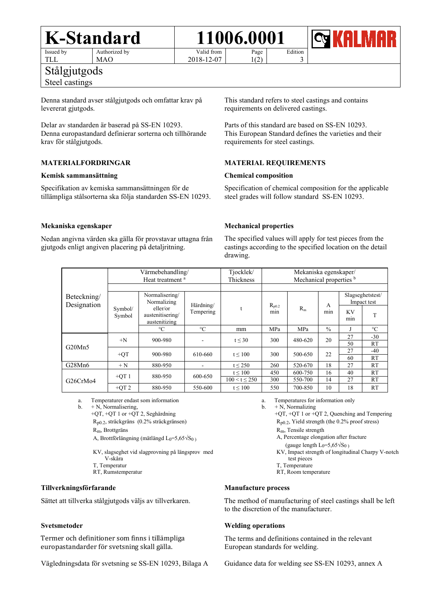#### **K-Standard 11006.0001** Issued by Authorized by

TLL

MAO

Stålgjutgods

## Steel castings

Denna standard avser stålgjutgods och omfattar krav på levererat gjutgods.

Delar av standarden är baserad på SS-EN 10293. Denna europastandard definierar sorterna och tillhörande krav för stålgjutgods.

## **MATERIALFORDRINGAR**

#### **Kemisk sammansättning**

Specifikation av kemiska sammansättningen för de tillämpliga stålsorterna ska följa standarden SS-EN 10293. This standard refers to steel castings and contains requirements on delivered castings.

Edition 3

Parts of this standard are based on SS-EN 10293. This European Standard defines the varieties and their requirements for steel castings.

#### **MATERIAL REQUIREMENTS**

#### **Chemical composition**

Page 1(2)

Specification of chemical composition for the applicable steel grades will follow standard SS-EN 10293.

#### **Mekaniska egenskaper**

Nedan angivna värden ska gälla för provstavar uttagna från gjutgods enligt angiven placering på detaljritning.

#### **Mechanical properties**

The specified values will apply for test pieces from the castings according to the specified location on the detail drawing.

| Beteckning/<br>Designation        | Värmebehandling/<br>Heat treatment <sup>a</sup> |                                                                                |                          | Tjocklek/<br>Thickness | Mekaniska egenskaper/<br>Mechanical properties b |         |               |                                 |                 |
|-----------------------------------|-------------------------------------------------|--------------------------------------------------------------------------------|--------------------------|------------------------|--------------------------------------------------|---------|---------------|---------------------------------|-----------------|
|                                   | Symbol/<br>Symbol                               | Normalisering/<br>Normalizing<br>eller/or<br>austenitisering/<br>austenitizing | Härdning/<br>Tempering   |                        | $R_{p0.2}$<br>min                                | $R_m$   | A<br>min      | Slagseghetstest/<br>Impact test |                 |
|                                   |                                                 |                                                                                |                          |                        |                                                  |         |               | <b>KV</b><br>min                |                 |
|                                   |                                                 | $\rm ^{\circ}C$                                                                | $\rm ^{\circ}C$          | mm                     | MPa                                              | MPa     | $\frac{0}{0}$ |                                 | $\rm ^{\circ}C$ |
| G20Mn5                            | $+N$                                            | 900-980                                                                        | ۰                        | t < 30                 | 300                                              | 480-620 | 20            | 27                              | $-30$           |
|                                   |                                                 |                                                                                |                          |                        |                                                  |         |               | 50                              | RT              |
|                                   | $+QT$                                           | 900-980                                                                        | 610-660                  | t < 100                | 300                                              | 500-650 | 22            | 27                              | $-40$           |
|                                   |                                                 |                                                                                |                          |                        |                                                  |         |               | 60                              | RT              |
| G28Mn6                            | $+ N$                                           | 880-950                                                                        | $\overline{\phantom{a}}$ | $t \leq 250$           | 260                                              | 520-670 | 18            | 27                              | RT              |
| G <sub>26</sub> CrM <sub>04</sub> | $+OT1$                                          | 880-950                                                                        | 600-650                  | $t \leq 100$           | 450                                              | 600-750 | 16            | 40                              | RT              |
|                                   |                                                 |                                                                                |                          | $100 < t \le 250$      | 300                                              | 550-700 | 14            | 27                              | RT              |
|                                   | $+QT2$                                          | 880-950                                                                        | 550-600                  | $t \leq 100$           | 550                                              | 700-850 | 10            | 18                              | <b>RT</b>       |

Valid from 2018-12-07

a. Temperaturer endast som information

 $b. + N$ , Normalisering,

+QT, +QT 1 or +QT 2, Seghärdning Rp0.2, sträckgräns (0.2% sträckgränsen) Rm, Brottgräns

A, Brottförlängning (mätlängd L<sub>0</sub>=5,65 $\sqrt{S_0}$ )

 KV, slagseghet vid slagprovning på längsprov med V-skåra

T, Temperatur RT, Rumstemperatur

#### **Tillverkningsförfarande**

Sättet att tillverka stålgjutgods väljs av tillverkaren.

#### **Svetsmetoder**

Termer och definitioner som finns i tillämpliga europastandarder för svetsning skall gälla.

Vägledningsdata för svetsning se SS-EN 10293, Bilaga A

- a. Temperatures for information only
- b.  $+ \overrightarrow{N}$ , Normalizing

 +QT, +QT 1 or +QT 2, Quenching and Tempering Rp0.2, Yield strength (the 0.2% proof stress) Rm, Tensile strength

- A, Percentage elongation after fracture
- (gauge length  $L_0=5,65\sqrt{S_0}$ )

KV, Impact strength of longitudinal Charpy V-notch test pieces

- T, Temperature
- RT, Room temperature

#### **Manufacture process**

The method of manufacturing of steel castings shall be left to the discretion of the manufacturer.

#### **Welding operations**

The terms and definitions contained in the relevant European standards for welding.

Guidance data for welding see SS-EN 10293, annex A